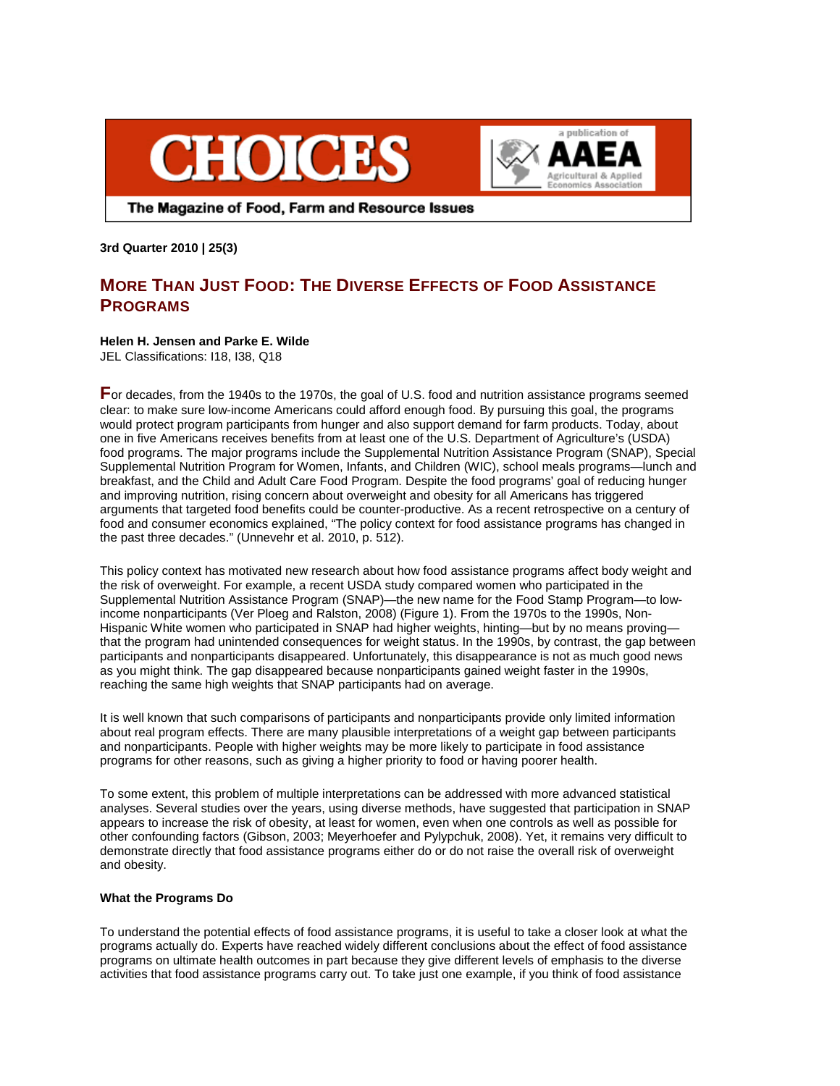



The Magazine of Food, Farm and Resource Issues

**3rd Quarter 2010 | 25(3)** 

# **MORE THAN JUST FOOD: THE DIVERSE EFFECTS OF FOOD ASSISTANCE PROGRAMS**

# **Helen H. Jensen and Parke E. Wilde**

JEL Classifications: I18, I38, Q18

**F**or decades, from the 1940s to the 1970s, the goal of U.S. food and nutrition assistance programs seemed clear: to make sure low-income Americans could afford enough food. By pursuing this goal, the programs would protect program participants from hunger and also support demand for farm products. Today, about one in five Americans receives benefits from at least one of the U.S. Department of Agriculture's (USDA) food programs. The major programs include the Supplemental Nutrition Assistance Program (SNAP), Special Supplemental Nutrition Program for Women, Infants, and Children (WIC), school meals programs—lunch and breakfast, and the Child and Adult Care Food Program. Despite the food programs' goal of reducing hunger and improving nutrition, rising concern about overweight and obesity for all Americans has triggered arguments that targeted food benefits could be counter-productive. As a recent retrospective on a century of food and consumer economics explained, "The policy context for food assistance programs has changed in the past three decades." (Unnevehr et al. 2010, p. 512).

This policy context has motivated new research about how food assistance programs affect body weight and the risk of overweight. For example, a recent USDA study compared women who participated in the Supplemental Nutrition Assistance Program (SNAP)—the new name for the Food Stamp Program—to lowincome nonparticipants (Ver Ploeg and Ralston, 2008) (Figure 1). From the 1970s to the 1990s, Non-Hispanic White women who participated in SNAP had higher weights, hinting—but by no means proving that the program had unintended consequences for weight status. In the 1990s, by contrast, the gap between participants and nonparticipants disappeared. Unfortunately, this disappearance is not as much good news as you might think. The gap disappeared because nonparticipants gained weight faster in the 1990s, reaching the same high weights that SNAP participants had on average.

It is well known that such comparisons of participants and nonparticipants provide only limited information about real program effects. There are many plausible interpretations of a weight gap between participants and nonparticipants. People with higher weights may be more likely to participate in food assistance programs for other reasons, such as giving a higher priority to food or having poorer health.

To some extent, this problem of multiple interpretations can be addressed with more advanced statistical analyses. Several studies over the years, using diverse methods, have suggested that participation in SNAP appears to increase the risk of obesity, at least for women, even when one controls as well as possible for other confounding factors (Gibson, 2003; Meyerhoefer and Pylypchuk, 2008). Yet, it remains very difficult to demonstrate directly that food assistance programs either do or do not raise the overall risk of overweight and obesity.

### **What the Programs Do**

To understand the potential effects of food assistance programs, it is useful to take a closer look at what the programs actually do. Experts have reached widely different conclusions about the effect of food assistance programs on ultimate health outcomes in part because they give different levels of emphasis to the diverse activities that food assistance programs carry out. To take just one example, if you think of food assistance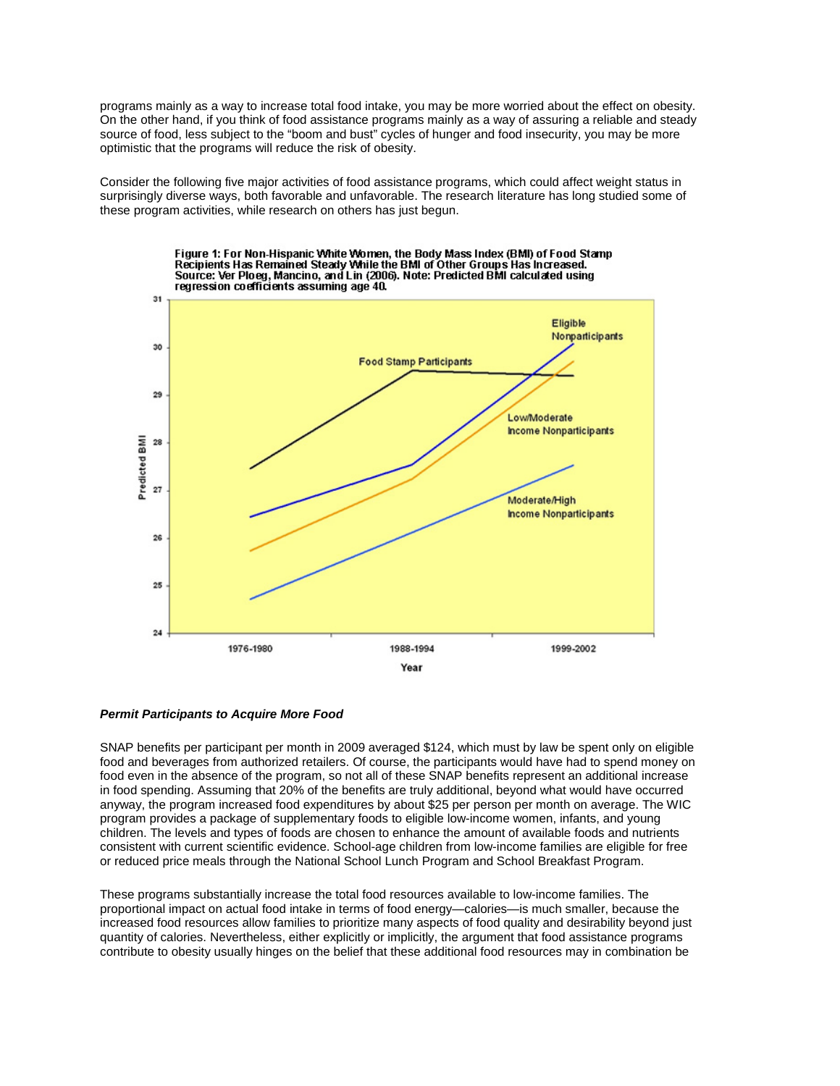programs mainly as a way to increase total food intake, you may be more worried about the effect on obesity. On the other hand, if you think of food assistance programs mainly as a way of assuring a reliable and steady source of food, less subject to the "boom and bust" cycles of hunger and food insecurity, you may be more optimistic that the programs will reduce the risk of obesity.

Consider the following five major activities of food assistance programs, which could affect weight status in surprisingly diverse ways, both favorable and unfavorable. The research literature has long studied some of these program activities, while research on others has just begun.



# *Permit Participants to Acquire More Food*

SNAP benefits per participant per month in 2009 averaged \$124, which must by law be spent only on eligible food and beverages from authorized retailers. Of course, the participants would have had to spend money on food even in the absence of the program, so not all of these SNAP benefits represent an additional increase in food spending. Assuming that 20% of the benefits are truly additional, beyond what would have occurred anyway, the program increased food expenditures by about \$25 per person per month on average. The WIC program provides a package of supplementary foods to eligible low-income women, infants, and young children. The levels and types of foods are chosen to enhance the amount of available foods and nutrients consistent with current scientific evidence. School-age children from low-income families are eligible for free or reduced price meals through the National School Lunch Program and School Breakfast Program.

These programs substantially increase the total food resources available to low-income families. The proportional impact on actual food intake in terms of food energy—calories—is much smaller, because the increased food resources allow families to prioritize many aspects of food quality and desirability beyond just quantity of calories. Nevertheless, either explicitly or implicitly, the argument that food assistance programs contribute to obesity usually hinges on the belief that these additional food resources may in combination be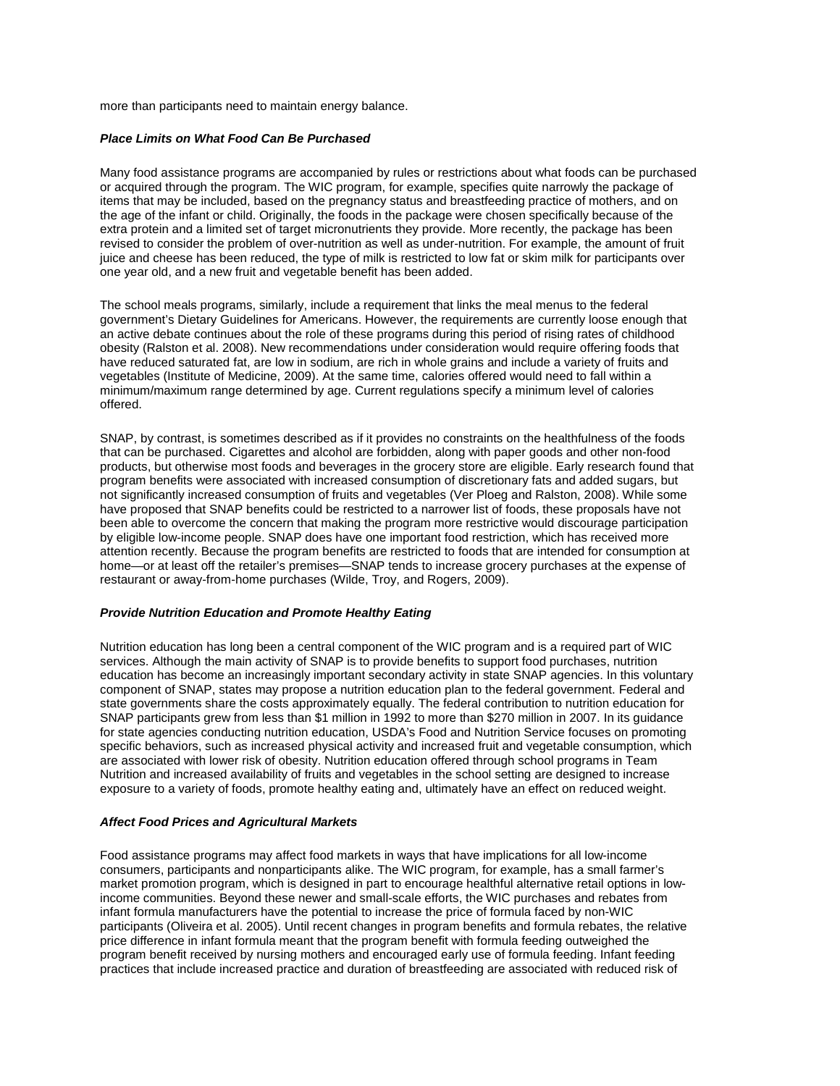more than participants need to maintain energy balance.

# *Place Limits on What Food Can Be Purchased*

Many food assistance programs are accompanied by rules or restrictions about what foods can be purchased or acquired through the program. The WIC program, for example, specifies quite narrowly the package of items that may be included, based on the pregnancy status and breastfeeding practice of mothers, and on the age of the infant or child. Originally, the foods in the package were chosen specifically because of the extra protein and a limited set of target micronutrients they provide. More recently, the package has been revised to consider the problem of over-nutrition as well as under-nutrition. For example, the amount of fruit juice and cheese has been reduced, the type of milk is restricted to low fat or skim milk for participants over one year old, and a new fruit and vegetable benefit has been added.

The school meals programs, similarly, include a requirement that links the meal menus to the federal government's Dietary Guidelines for Americans. However, the requirements are currently loose enough that an active debate continues about the role of these programs during this period of rising rates of childhood obesity (Ralston et al. 2008). New recommendations under consideration would require offering foods that have reduced saturated fat, are low in sodium, are rich in whole grains and include a variety of fruits and vegetables (Institute of Medicine, 2009). At the same time, calories offered would need to fall within a minimum/maximum range determined by age. Current regulations specify a minimum level of calories offered.

SNAP, by contrast, is sometimes described as if it provides no constraints on the healthfulness of the foods that can be purchased. Cigarettes and alcohol are forbidden, along with paper goods and other non-food products, but otherwise most foods and beverages in the grocery store are eligible. Early research found that program benefits were associated with increased consumption of discretionary fats and added sugars, but not significantly increased consumption of fruits and vegetables (Ver Ploeg and Ralston, 2008). While some have proposed that SNAP benefits could be restricted to a narrower list of foods, these proposals have not been able to overcome the concern that making the program more restrictive would discourage participation by eligible low-income people. SNAP does have one important food restriction, which has received more attention recently. Because the program benefits are restricted to foods that are intended for consumption at home—or at least off the retailer's premises—SNAP tends to increase grocery purchases at the expense of restaurant or away-from-home purchases (Wilde, Troy, and Rogers, 2009).

## *Provide Nutrition Education and Promote Healthy Eating*

Nutrition education has long been a central component of the WIC program and is a required part of WIC services. Although the main activity of SNAP is to provide benefits to support food purchases, nutrition education has become an increasingly important secondary activity in state SNAP agencies. In this voluntary component of SNAP, states may propose a nutrition education plan to the federal government. Federal and state governments share the costs approximately equally. The federal contribution to nutrition education for SNAP participants grew from less than \$1 million in 1992 to more than \$270 million in 2007. In its guidance for state agencies conducting nutrition education, USDA's Food and Nutrition Service focuses on promoting specific behaviors, such as increased physical activity and increased fruit and vegetable consumption, which are associated with lower risk of obesity. Nutrition education offered through school programs in Team Nutrition and increased availability of fruits and vegetables in the school setting are designed to increase exposure to a variety of foods, promote healthy eating and, ultimately have an effect on reduced weight.

# *Affect Food Prices and Agricultural Markets*

Food assistance programs may affect food markets in ways that have implications for all low-income consumers, participants and nonparticipants alike. The WIC program, for example, has a small farmer's market promotion program, which is designed in part to encourage healthful alternative retail options in lowincome communities. Beyond these newer and small-scale efforts, the WIC purchases and rebates from infant formula manufacturers have the potential to increase the price of formula faced by non-WIC participants (Oliveira et al. 2005). Until recent changes in program benefits and formula rebates, the relative price difference in infant formula meant that the program benefit with formula feeding outweighed the program benefit received by nursing mothers and encouraged early use of formula feeding. Infant feeding practices that include increased practice and duration of breastfeeding are associated with reduced risk of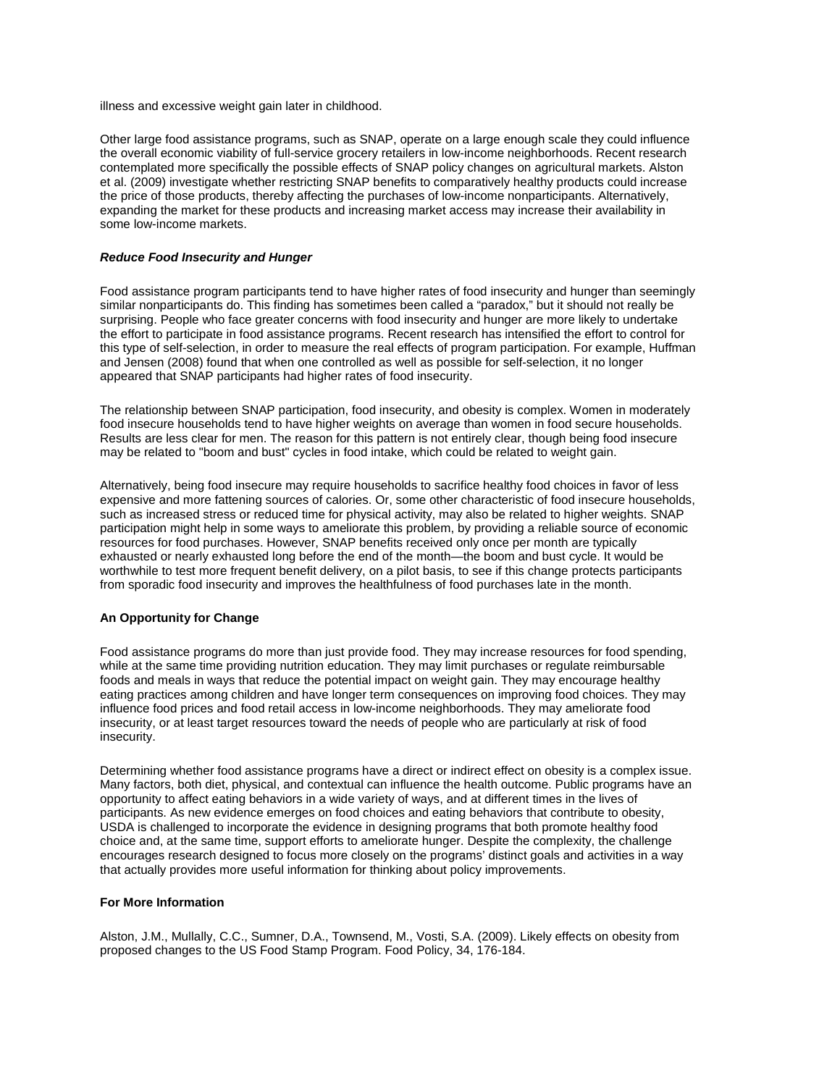illness and excessive weight gain later in childhood.

Other large food assistance programs, such as SNAP, operate on a large enough scale they could influence the overall economic viability of full-service grocery retailers in low-income neighborhoods. Recent research contemplated more specifically the possible effects of SNAP policy changes on agricultural markets. Alston et al. (2009) investigate whether restricting SNAP benefits to comparatively healthy products could increase the price of those products, thereby affecting the purchases of low-income nonparticipants. Alternatively, expanding the market for these products and increasing market access may increase their availability in some low-income markets.

## *Reduce Food Insecurity and Hunger*

Food assistance program participants tend to have higher rates of food insecurity and hunger than seemingly similar nonparticipants do. This finding has sometimes been called a "paradox," but it should not really be surprising. People who face greater concerns with food insecurity and hunger are more likely to undertake the effort to participate in food assistance programs. Recent research has intensified the effort to control for this type of self-selection, in order to measure the real effects of program participation. For example, Huffman and Jensen (2008) found that when one controlled as well as possible for self-selection, it no longer appeared that SNAP participants had higher rates of food insecurity.

The relationship between SNAP participation, food insecurity, and obesity is complex. Women in moderately food insecure households tend to have higher weights on average than women in food secure households. Results are less clear for men. The reason for this pattern is not entirely clear, though being food insecure may be related to "boom and bust" cycles in food intake, which could be related to weight gain.

Alternatively, being food insecure may require households to sacrifice healthy food choices in favor of less expensive and more fattening sources of calories. Or, some other characteristic of food insecure households, such as increased stress or reduced time for physical activity, may also be related to higher weights. SNAP participation might help in some ways to ameliorate this problem, by providing a reliable source of economic resources for food purchases. However, SNAP benefits received only once per month are typically exhausted or nearly exhausted long before the end of the month—the boom and bust cycle. It would be worthwhile to test more frequent benefit delivery, on a pilot basis, to see if this change protects participants from sporadic food insecurity and improves the healthfulness of food purchases late in the month.

# **An Opportunity for Change**

Food assistance programs do more than just provide food. They may increase resources for food spending, while at the same time providing nutrition education. They may limit purchases or regulate reimbursable foods and meals in ways that reduce the potential impact on weight gain. They may encourage healthy eating practices among children and have longer term consequences on improving food choices. They may influence food prices and food retail access in low-income neighborhoods. They may ameliorate food insecurity, or at least target resources toward the needs of people who are particularly at risk of food insecurity.

Determining whether food assistance programs have a direct or indirect effect on obesity is a complex issue. Many factors, both diet, physical, and contextual can influence the health outcome. Public programs have an opportunity to affect eating behaviors in a wide variety of ways, and at different times in the lives of participants. As new evidence emerges on food choices and eating behaviors that contribute to obesity, USDA is challenged to incorporate the evidence in designing programs that both promote healthy food choice and, at the same time, support efforts to ameliorate hunger. Despite the complexity, the challenge encourages research designed to focus more closely on the programs' distinct goals and activities in a way that actually provides more useful information for thinking about policy improvements.

### **For More Information**

Alston, J.M., Mullally, C.C., Sumner, D.A., Townsend, M., Vosti, S.A. (2009). Likely effects on obesity from proposed changes to the US Food Stamp Program. Food Policy, 34, 176-184.